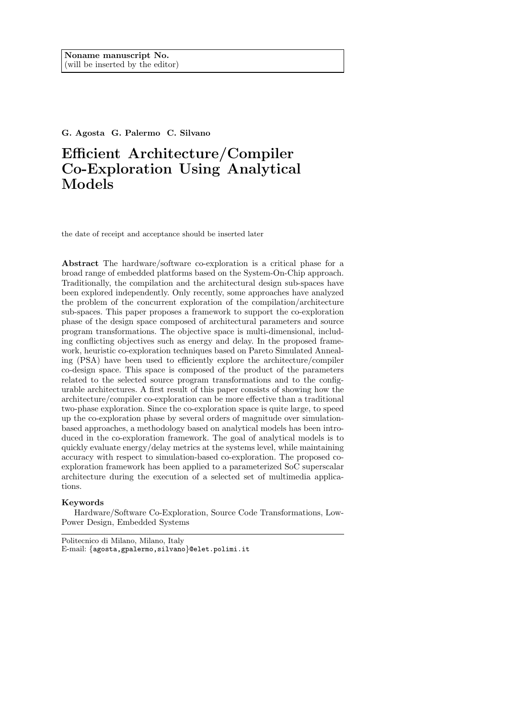G. Agosta G. Palermo C. Silvano

# Efficient Architecture/Compiler Co-Exploration Using Analytical Models

the date of receipt and acceptance should be inserted later

Abstract The hardware/software co-exploration is a critical phase for a broad range of embedded platforms based on the System-On-Chip approach. Traditionally, the compilation and the architectural design sub-spaces have been explored independently. Only recently, some approaches have analyzed the problem of the concurrent exploration of the compilation/architecture sub-spaces. This paper proposes a framework to support the co-exploration phase of the design space composed of architectural parameters and source program transformations. The objective space is multi-dimensional, including conflicting objectives such as energy and delay. In the proposed framework, heuristic co-exploration techniques based on Pareto Simulated Annealing (PSA) have been used to efficiently explore the architecture/compiler co-design space. This space is composed of the product of the parameters related to the selected source program transformations and to the configurable architectures. A first result of this paper consists of showing how the architecture/compiler co-exploration can be more effective than a traditional two-phase exploration. Since the co-exploration space is quite large, to speed up the co-exploration phase by several orders of magnitude over simulationbased approaches, a methodology based on analytical models has been introduced in the co-exploration framework. The goal of analytical models is to quickly evaluate energy/delay metrics at the systems level, while maintaining accuracy with respect to simulation-based co-exploration. The proposed coexploration framework has been applied to a parameterized SoC superscalar architecture during the execution of a selected set of multimedia applications.

## Keywords

Hardware/Software Co-Exploration, Source Code Transformations, Low-Power Design, Embedded Systems

Politecnico di Milano, Milano, Italy E-mail: {agosta,gpalermo,silvano}@elet.polimi.it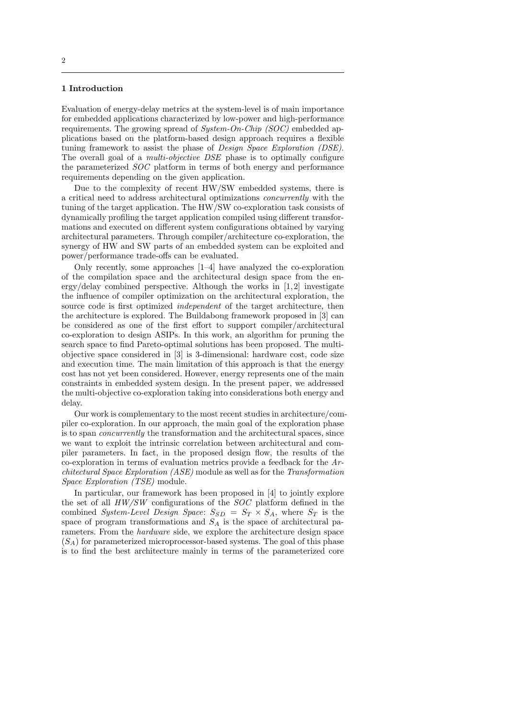# 1 Introduction

Evaluation of energy-delay metrics at the system-level is of main importance for embedded applications characterized by low-power and high-performance requirements. The growing spread of System-On-Chip (SOC) embedded applications based on the platform-based design approach requires a flexible tuning framework to assist the phase of Design Space Exploration (DSE). The overall goal of a *multi-objective DSE* phase is to optimally configure the parameterized SOC platform in terms of both energy and performance requirements depending on the given application.

Due to the complexity of recent HW/SW embedded systems, there is a critical need to address architectural optimizations concurrently with the tuning of the target application. The HW/SW co-exploration task consists of dynamically profiling the target application compiled using different transformations and executed on different system configurations obtained by varying architectural parameters. Through compiler/architecture co-exploration, the synergy of HW and SW parts of an embedded system can be exploited and power/performance trade-offs can be evaluated.

Only recently, some approaches [1–4] have analyzed the co-exploration of the compilation space and the architectural design space from the energy/delay combined perspective. Although the works in [1,2] investigate the influence of compiler optimization on the architectural exploration, the source code is first optimized *independent* of the target architecture, then the architecture is explored. The Buildabong framework proposed in [3] can be considered as one of the first effort to support compiler/architectural co-exploration to design ASIPs. In this work, an algorithm for pruning the search space to find Pareto-optimal solutions has been proposed. The multiobjective space considered in [3] is 3-dimensional: hardware cost, code size and execution time. The main limitation of this approach is that the energy cost has not yet been considered. However, energy represents one of the main constraints in embedded system design. In the present paper, we addressed the multi-objective co-exploration taking into considerations both energy and delay.

Our work is complementary to the most recent studies in architecture/compiler co-exploration. In our approach, the main goal of the exploration phase is to span concurrently the transformation and the architectural spaces, since we want to exploit the intrinsic correlation between architectural and compiler parameters. In fact, in the proposed design flow, the results of the co-exploration in terms of evaluation metrics provide a feedback for the Architectural Space Exploration (ASE) module as well as for the Transformation Space Exploration (TSE) module.

In particular, our framework has been proposed in [4] to jointly explore the set of all HW/SW configurations of the SOC platform defined in the combined System-Level Design Space:  $S_{SD} = S_T \times S_A$ , where  $S_T$  is the space of program transformations and  $S_A$  is the space of architectural parameters. From the hardware side, we explore the architecture design space  $(S_A)$  for parameterized microprocessor-based systems. The goal of this phase is to find the best architecture mainly in terms of the parameterized core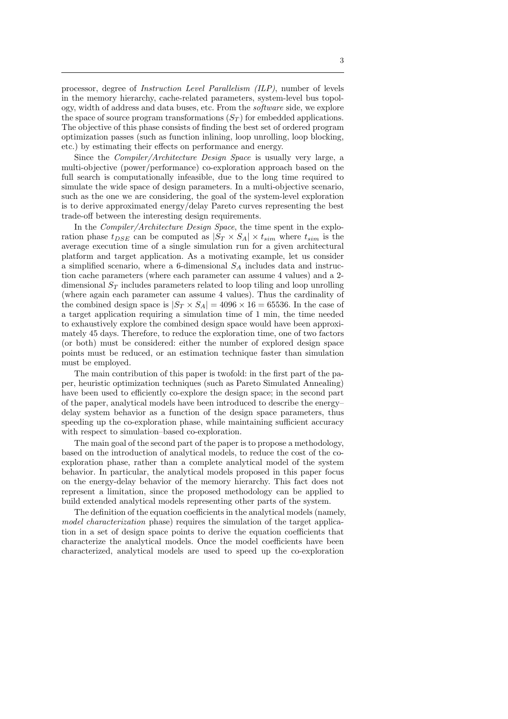processor, degree of Instruction Level Parallelism (ILP), number of levels in the memory hierarchy, cache-related parameters, system-level bus topology, width of address and data buses, etc. From the software side, we explore the space of source program transformations  $(S_T)$  for embedded applications. The objective of this phase consists of finding the best set of ordered program optimization passes (such as function inlining, loop unrolling, loop blocking, etc.) by estimating their effects on performance and energy.

Since the Compiler/Architecture Design Space is usually very large, a multi-objective (power/performance) co-exploration approach based on the full search is computationally infeasible, due to the long time required to simulate the wide space of design parameters. In a multi-objective scenario, such as the one we are considering, the goal of the system-level exploration is to derive approximated energy/delay Pareto curves representing the best trade-off between the interesting design requirements.

In the *Compiler/Architecture Design Space*, the time spent in the exploration phase  $t_{DSE}$  can be computed as  $|S_T \times S_A| \times t_{sim}$  where  $t_{sim}$  is the average execution time of a single simulation run for a given architectural platform and target application. As a motivating example, let us consider a simplified scenario, where a 6-dimensional  $S_A$  includes data and instruction cache parameters (where each parameter can assume 4 values) and a 2 dimensional  $S_T$  includes parameters related to loop tiling and loop unrolling (where again each parameter can assume 4 values). Thus the cardinality of the combined design space is  $|S_T \times S_A| = 4096 \times 16 = 65536$ . In the case of a target application requiring a simulation time of 1 min, the time needed to exhaustively explore the combined design space would have been approximately 45 days. Therefore, to reduce the exploration time, one of two factors (or both) must be considered: either the number of explored design space points must be reduced, or an estimation technique faster than simulation must be employed.

The main contribution of this paper is twofold: in the first part of the paper, heuristic optimization techniques (such as Pareto Simulated Annealing) have been used to efficiently co-explore the design space; in the second part of the paper, analytical models have been introduced to describe the energy– delay system behavior as a function of the design space parameters, thus speeding up the co-exploration phase, while maintaining sufficient accuracy with respect to simulation–based co-exploration.

The main goal of the second part of the paper is to propose a methodology, based on the introduction of analytical models, to reduce the cost of the coexploration phase, rather than a complete analytical model of the system behavior. In particular, the analytical models proposed in this paper focus on the energy-delay behavior of the memory hierarchy. This fact does not represent a limitation, since the proposed methodology can be applied to build extended analytical models representing other parts of the system.

The definition of the equation coefficients in the analytical models (namely, model characterization phase) requires the simulation of the target application in a set of design space points to derive the equation coefficients that characterize the analytical models. Once the model coefficients have been characterized, analytical models are used to speed up the co-exploration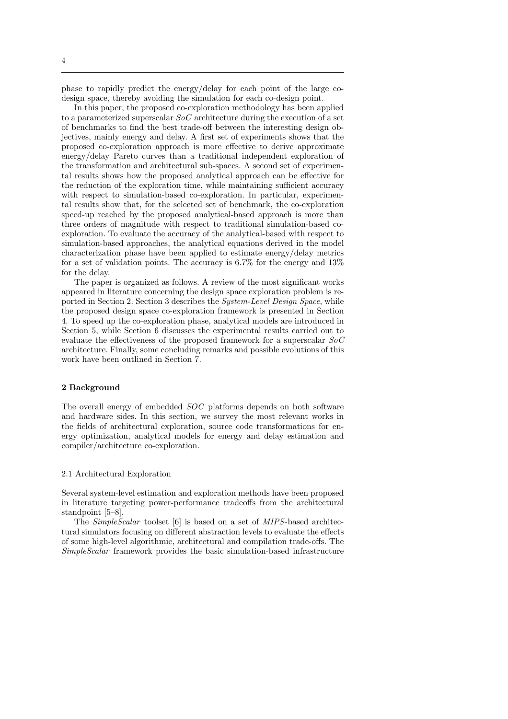phase to rapidly predict the energy/delay for each point of the large codesign space, thereby avoiding the simulation for each co-design point.

In this paper, the proposed co-exploration methodology has been applied to a parameterized superscalar  $SoC$  architecture during the execution of a set of benchmarks to find the best trade-off between the interesting design objectives, mainly energy and delay. A first set of experiments shows that the proposed co-exploration approach is more effective to derive approximate energy/delay Pareto curves than a traditional independent exploration of the transformation and architectural sub-spaces. A second set of experimental results shows how the proposed analytical approach can be effective for the reduction of the exploration time, while maintaining sufficient accuracy with respect to simulation-based co-exploration. In particular, experimental results show that, for the selected set of benchmark, the co-exploration speed-up reached by the proposed analytical-based approach is more than three orders of magnitude with respect to traditional simulation-based coexploration. To evaluate the accuracy of the analytical-based with respect to simulation-based approaches, the analytical equations derived in the model characterization phase have been applied to estimate energy/delay metrics for a set of validation points. The accuracy is  $6.7\%$  for the energy and  $13\%$ for the delay.

The paper is organized as follows. A review of the most significant works appeared in literature concerning the design space exploration problem is reported in Section 2. Section 3 describes the System-Level Design Space, while the proposed design space co-exploration framework is presented in Section 4. To speed up the co-exploration phase, analytical models are introduced in Section 5, while Section 6 discusses the experimental results carried out to evaluate the effectiveness of the proposed framework for a superscalar SoC architecture. Finally, some concluding remarks and possible evolutions of this work have been outlined in Section 7.

## 2 Background

The overall energy of embedded SOC platforms depends on both software and hardware sides. In this section, we survey the most relevant works in the fields of architectural exploration, source code transformations for energy optimization, analytical models for energy and delay estimation and compiler/architecture co-exploration.

## 2.1 Architectural Exploration

Several system-level estimation and exploration methods have been proposed in literature targeting power-performance tradeoffs from the architectural standpoint [5–8].

The SimpleScalar toolset [6] is based on a set of MIPS-based architectural simulators focusing on different abstraction levels to evaluate the effects of some high-level algorithmic, architectural and compilation trade-offs. The SimpleScalar framework provides the basic simulation-based infrastructure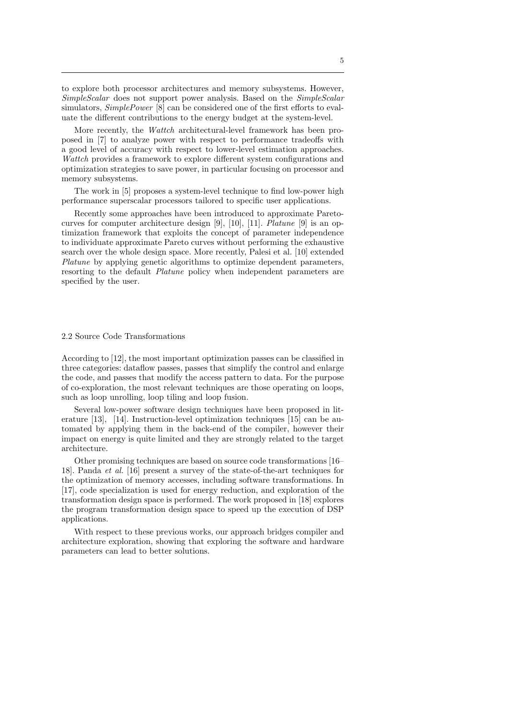to explore both processor architectures and memory subsystems. However, SimpleScalar does not support power analysis. Based on the SimpleScalar simulators,  $SimplePower$  [8] can be considered one of the first efforts to evaluate the different contributions to the energy budget at the system-level.

More recently, the *Wattch* architectural-level framework has been proposed in [7] to analyze power with respect to performance tradeoffs with a good level of accuracy with respect to lower-level estimation approaches. Wattch provides a framework to explore different system configurations and optimization strategies to save power, in particular focusing on processor and memory subsystems.

The work in [5] proposes a system-level technique to find low-power high performance superscalar processors tailored to specific user applications.

Recently some approaches have been introduced to approximate Paretocurves for computer architecture design [9], [10], [11]. Platune [9] is an optimization framework that exploits the concept of parameter independence to individuate approximate Pareto curves without performing the exhaustive search over the whole design space. More recently, Palesi et al. [10] extended Platune by applying genetic algorithms to optimize dependent parameters, resorting to the default Platune policy when independent parameters are specified by the user.

#### 2.2 Source Code Transformations

According to [12], the most important optimization passes can be classified in three categories: dataflow passes, passes that simplify the control and enlarge the code, and passes that modify the access pattern to data. For the purpose of co-exploration, the most relevant techniques are those operating on loops, such as loop unrolling, loop tiling and loop fusion.

Several low-power software design techniques have been proposed in literature [13], [14]. Instruction-level optimization techniques [15] can be automated by applying them in the back-end of the compiler, however their impact on energy is quite limited and they are strongly related to the target architecture.

Other promising techniques are based on source code transformations [16– 18]. Panda et al. [16] present a survey of the state-of-the-art techniques for the optimization of memory accesses, including software transformations. In [17], code specialization is used for energy reduction, and exploration of the transformation design space is performed. The work proposed in [18] explores the program transformation design space to speed up the execution of DSP applications.

With respect to these previous works, our approach bridges compiler and architecture exploration, showing that exploring the software and hardware parameters can lead to better solutions.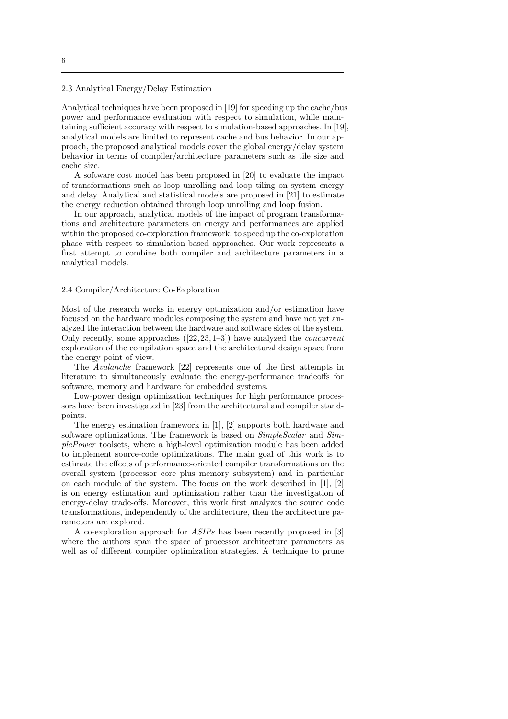2.3 Analytical Energy/Delay Estimation

Analytical techniques have been proposed in [19] for speeding up the cache/bus power and performance evaluation with respect to simulation, while maintaining sufficient accuracy with respect to simulation-based approaches. In [19], analytical models are limited to represent cache and bus behavior. In our approach, the proposed analytical models cover the global energy/delay system behavior in terms of compiler/architecture parameters such as tile size and cache size.

A software cost model has been proposed in [20] to evaluate the impact of transformations such as loop unrolling and loop tiling on system energy and delay. Analytical and statistical models are proposed in [21] to estimate the energy reduction obtained through loop unrolling and loop fusion.

In our approach, analytical models of the impact of program transformations and architecture parameters on energy and performances are applied within the proposed co-exploration framework, to speed up the co-exploration phase with respect to simulation-based approaches. Our work represents a first attempt to combine both compiler and architecture parameters in a analytical models.

#### 2.4 Compiler/Architecture Co-Exploration

Most of the research works in energy optimization and/or estimation have focused on the hardware modules composing the system and have not yet analyzed the interaction between the hardware and software sides of the system. Only recently, some approaches ([22,23,1–3]) have analyzed the concurrent exploration of the compilation space and the architectural design space from the energy point of view.

The Avalanche framework [22] represents one of the first attempts in literature to simultaneously evaluate the energy-performance tradeoffs for software, memory and hardware for embedded systems.

Low-power design optimization techniques for high performance processors have been investigated in [23] from the architectural and compiler standpoints.

The energy estimation framework in [1], [2] supports both hardware and software optimizations. The framework is based on  $SimpleScalar$  and  $Sim$ plePower toolsets, where a high-level optimization module has been added to implement source-code optimizations. The main goal of this work is to estimate the effects of performance-oriented compiler transformations on the overall system (processor core plus memory subsystem) and in particular on each module of the system. The focus on the work described in [1], [2] is on energy estimation and optimization rather than the investigation of energy-delay trade-offs. Moreover, this work first analyzes the source code transformations, independently of the architecture, then the architecture parameters are explored.

A co-exploration approach for ASIPs has been recently proposed in [3] where the authors span the space of processor architecture parameters as well as of different compiler optimization strategies. A technique to prune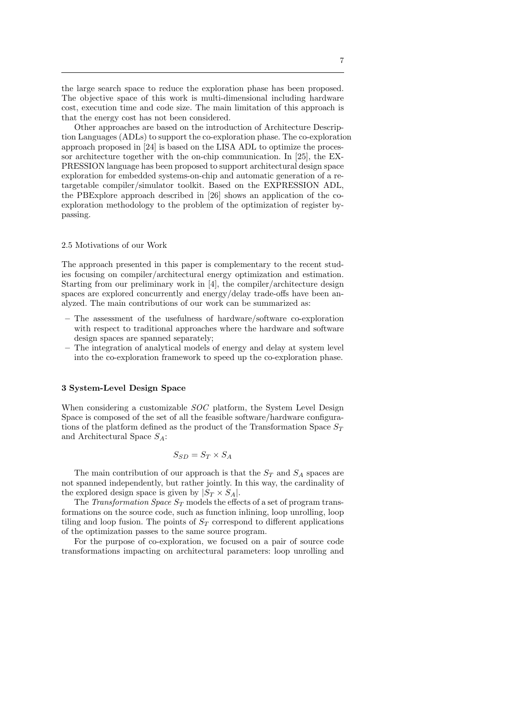the large search space to reduce the exploration phase has been proposed. The objective space of this work is multi-dimensional including hardware cost, execution time and code size. The main limitation of this approach is that the energy cost has not been considered.

Other approaches are based on the introduction of Architecture Description Languages (ADLs) to support the co-exploration phase. The co-exploration approach proposed in [24] is based on the LISA ADL to optimize the processor architecture together with the on-chip communication. In [25], the EX-PRESSION language has been proposed to support architectural design space exploration for embedded systems-on-chip and automatic generation of a retargetable compiler/simulator toolkit. Based on the EXPRESSION ADL, the PBExplore approach described in [26] shows an application of the coexploration methodology to the problem of the optimization of register bypassing.

#### 2.5 Motivations of our Work

The approach presented in this paper is complementary to the recent studies focusing on compiler/architectural energy optimization and estimation. Starting from our preliminary work in [4], the compiler/architecture design spaces are explored concurrently and energy/delay trade-offs have been analyzed. The main contributions of our work can be summarized as:

- The assessment of the usefulness of hardware/software co-exploration with respect to traditional approaches where the hardware and software design spaces are spanned separately;
- The integration of analytical models of energy and delay at system level into the co-exploration framework to speed up the co-exploration phase.

#### 3 System-Level Design Space

When considering a customizable *SOC* platform, the System Level Design Space is composed of the set of all the feasible software/hardware configurations of the platform defined as the product of the Transformation Space  $S_T$ and Architectural Space  $S_A$ :

$$
S_{SD} = S_T \times S_A
$$

The main contribution of our approach is that the  $S_T$  and  $S_A$  spaces are not spanned independently, but rather jointly. In this way, the cardinality of the explored design space is given by  $|S_T \times S_A|$ .

The Transformation Space  $S_T$  models the effects of a set of program transformations on the source code, such as function inlining, loop unrolling, loop tiling and loop fusion. The points of  $S_T$  correspond to different applications of the optimization passes to the same source program.

For the purpose of co-exploration, we focused on a pair of source code transformations impacting on architectural parameters: loop unrolling and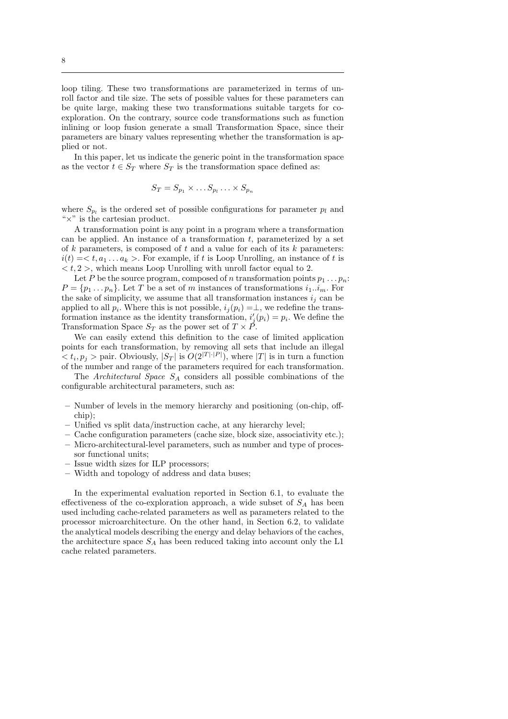loop tiling. These two transformations are parameterized in terms of unroll factor and tile size. The sets of possible values for these parameters can be quite large, making these two transformations suitable targets for coexploration. On the contrary, source code transformations such as function inlining or loop fusion generate a small Transformation Space, since their parameters are binary values representing whether the transformation is applied or not.

In this paper, let us indicate the generic point in the transformation space as the vector  $t \in S_T$  where  $S_T$  is the transformation space defined as:

$$
S_T = S_{p_1} \times \dots S_{p_l} \dots \times S_{p_n}
$$

where  $S_{p_l}$  is the ordered set of possible configurations for parameter  $p_l$  and " $\times$ " is the cartesian product.

A transformation point is any point in a program where a transformation can be applied. An instance of a transformation  $t$ , parameterized by a set of  $k$  parameters, is composed of  $t$  and a value for each of its  $k$  parameters:  $i(t) = \langle t, a_1 \dots a_k \rangle$ . For example, if t is Loop Unrolling, an instance of t is  $\langle t, 2 \rangle$ , which means Loop Unrolling with unroll factor equal to 2.

Let P be the source program, composed of n transformation points  $p_1 \tldots p_n$ :  $P = \{p_1 \dots p_n\}$ . Let T be a set of m instances of transformations  $i_1 \dots i_m$ . For the sake of simplicity, we assume that all transformation instances  $i_j$  can be applied to all  $p_i$ . Where this is not possible,  $i_j(p_i) = \perp$ , we redefine the transformation instance as the identity transformation,  $i'_{j}(p_{i}) = p_{i}$ . We define the Transformation Space  $S_T$  as the power set of  $T \times \overline{P}$ .

We can easily extend this definition to the case of limited application points for each transformation, by removing all sets that include an illegal  $< t_i, p_j >$  pair. Obviously,  $|S_T|$  is  $O(2^{|T| \cdot |P|})$ , where  $|T|$  is in turn a function of the number and range of the parameters required for each transformation.

The Architectural Space  $S_A$  considers all possible combinations of the configurable architectural parameters, such as:

- Number of levels in the memory hierarchy and positioning (on-chip, offchip);
- Unified vs split data/instruction cache, at any hierarchy level;
- Cache configuration parameters (cache size, block size, associativity etc.);
- Micro-architectural-level parameters, such as number and type of processor functional units;
- Issue width sizes for ILP processors;
- Width and topology of address and data buses;

In the experimental evaluation reported in Section 6.1, to evaluate the effectiveness of the co-exploration approach, a wide subset of  $S<sub>A</sub>$  has been used including cache-related parameters as well as parameters related to the processor microarchitecture. On the other hand, in Section 6.2, to validate the analytical models describing the energy and delay behaviors of the caches, the architecture space  $S_A$  has been reduced taking into account only the L1 cache related parameters.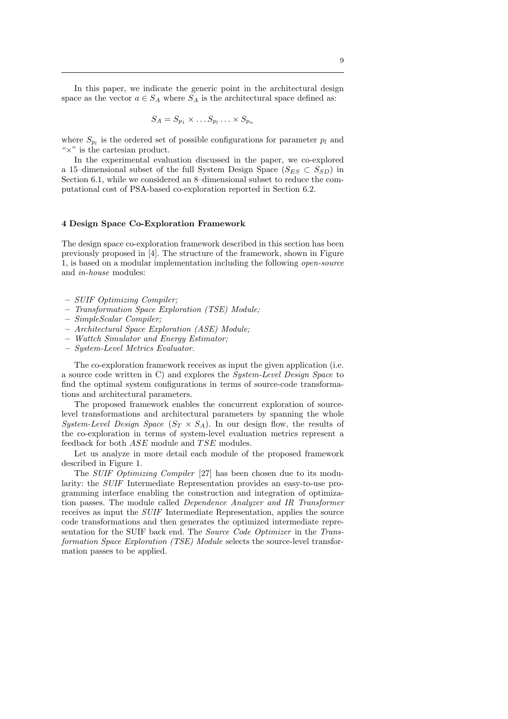In this paper, we indicate the generic point in the architectural design space as the vector  $a \in S_A$  where  $S_A$  is the architectural space defined as:

$$
S_A = S_{p_1} \times \ldots S_{p_l} \ldots \times S_{p_n}
$$

where  $S_{p_l}$  is the ordered set of possible configurations for parameter  $p_l$  and " $\times$ " is the cartesian product.

In the experimental evaluation discussed in the paper, we co-explored a 15–dimensional subset of the full System Design Space  $(S_{ES} \subset S_{SD})$  in Section 6.1, while we considered an 8–dimensional subset to reduce the computational cost of PSA-based co-exploration reported in Section 6.2.

#### 4 Design Space Co-Exploration Framework

The design space co-exploration framework described in this section has been previously proposed in [4]. The structure of the framework, shown in Figure 1, is based on a modular implementation including the following open-source and in-house modules:

- SUIF Optimizing Compiler;
- Transformation Space Exploration (TSE) Module;
- SimpleScalar Compiler;
- Architectural Space Exploration (ASE) Module;
- Wattch Simulator and Energy Estimator;
- System-Level Metrics Evaluator.

The co-exploration framework receives as input the given application (i.e. a source code written in C) and explores the System-Level Design Space to find the optimal system configurations in terms of source-code transformations and architectural parameters.

The proposed framework enables the concurrent exploration of sourcelevel transformations and architectural parameters by spanning the whole System-Level Design Space  $(S_T \times S_A)$ . In our design flow, the results of the co-exploration in terms of system-level evaluation metrics represent a feedback for both  $ASE$  module and  $TSE$  modules.

Let us analyze in more detail each module of the proposed framework described in Figure 1.

The SUIF Optimizing Compiler [27] has been chosen due to its modularity: the SUIF Intermediate Representation provides an easy-to-use programming interface enabling the construction and integration of optimization passes. The module called Dependence Analyzer and IR Transformer receives as input the SUIF Intermediate Representation, applies the source code transformations and then generates the optimized intermediate representation for the SUIF back end. The Source Code Optimizer in the Transformation Space Exploration (TSE) Module selects the source-level transformation passes to be applied.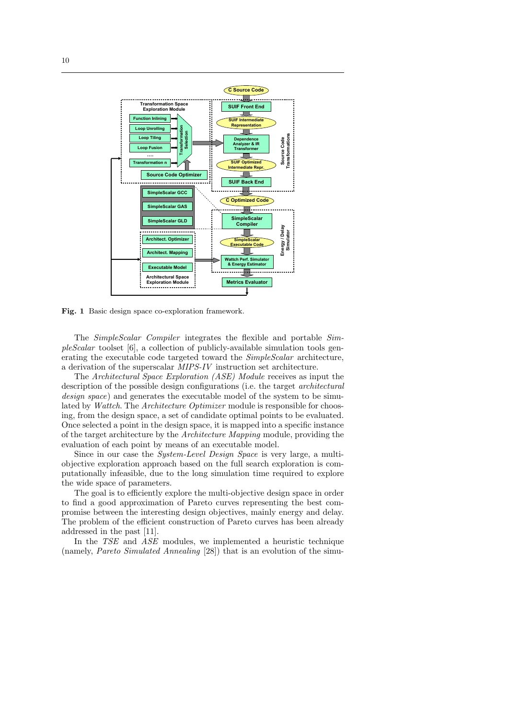

Fig. 1 Basic design space co-exploration framework.

The SimpleScalar Compiler integrates the flexible and portable Sim $pleScalar$  toolset [6], a collection of publicly-available simulation tools generating the executable code targeted toward the SimpleScalar architecture, a derivation of the superscalar MIPS-IV instruction set architecture.

The Architectural Space Exploration (ASE) Module receives as input the description of the possible design configurations (i.e. the target architectural design space) and generates the executable model of the system to be simulated by Wattch. The Architecture Optimizer module is responsible for choosing, from the design space, a set of candidate optimal points to be evaluated. Once selected a point in the design space, it is mapped into a specific instance of the target architecture by the Architecture Mapping module, providing the evaluation of each point by means of an executable model.

Since in our case the System-Level Design Space is very large, a multiobjective exploration approach based on the full search exploration is computationally infeasible, due to the long simulation time required to explore the wide space of parameters.

The goal is to efficiently explore the multi-objective design space in order to find a good approximation of Pareto curves representing the best compromise between the interesting design objectives, mainly energy and delay. The problem of the efficient construction of Pareto curves has been already addressed in the past [11].

In the TSE and ASE modules, we implemented a heuristic technique (namely, Pareto Simulated Annealing [28]) that is an evolution of the simu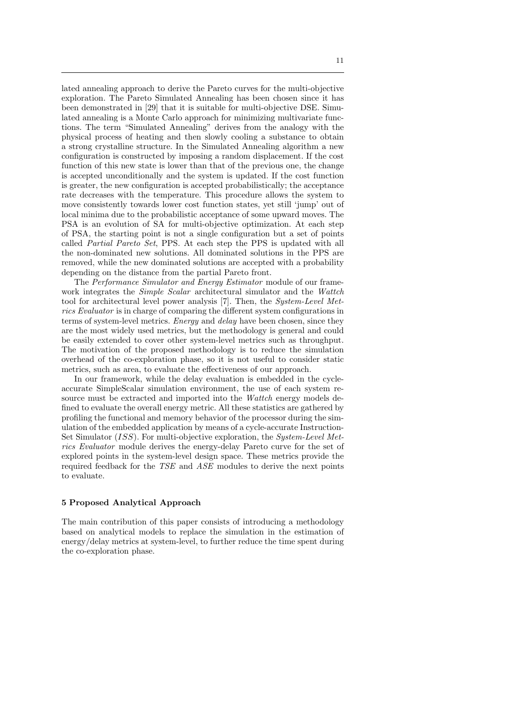lated annealing approach to derive the Pareto curves for the multi-objective exploration. The Pareto Simulated Annealing has been chosen since it has been demonstrated in [29] that it is suitable for multi-objective DSE. Simulated annealing is a Monte Carlo approach for minimizing multivariate functions. The term "Simulated Annealing" derives from the analogy with the physical process of heating and then slowly cooling a substance to obtain a strong crystalline structure. In the Simulated Annealing algorithm a new configuration is constructed by imposing a random displacement. If the cost function of this new state is lower than that of the previous one, the change is accepted unconditionally and the system is updated. If the cost function is greater, the new configuration is accepted probabilistically; the acceptance rate decreases with the temperature. This procedure allows the system to move consistently towards lower cost function states, yet still 'jump' out of local minima due to the probabilistic acceptance of some upward moves. The PSA is an evolution of SA for multi-objective optimization. At each step of PSA, the starting point is not a single configuration but a set of points called Partial Pareto Set, PPS. At each step the PPS is updated with all the non-dominated new solutions. All dominated solutions in the PPS are removed, while the new dominated solutions are accepted with a probability depending on the distance from the partial Pareto front.

The Performance Simulator and Energy Estimator module of our framework integrates the *Simple Scalar* architectural simulator and the *Wattch* tool for architectural level power analysis [7]. Then, the System-Level Metrics Evaluator is in charge of comparing the different system configurations in terms of system-level metrics. Energy and delay have been chosen, since they are the most widely used metrics, but the methodology is general and could be easily extended to cover other system-level metrics such as throughput. The motivation of the proposed methodology is to reduce the simulation overhead of the co-exploration phase, so it is not useful to consider static metrics, such as area, to evaluate the effectiveness of our approach.

In our framework, while the delay evaluation is embedded in the cycleaccurate SimpleScalar simulation environment, the use of each system resource must be extracted and imported into the *Wattch* energy models defined to evaluate the overall energy metric. All these statistics are gathered by profiling the functional and memory behavior of the processor during the simulation of the embedded application by means of a cycle-accurate Instruction-Set Simulator (ISS). For multi-objective exploration, the System-Level Metrics Evaluator module derives the energy-delay Pareto curve for the set of explored points in the system-level design space. These metrics provide the required feedback for the TSE and ASE modules to derive the next points to evaluate.

#### 5 Proposed Analytical Approach

The main contribution of this paper consists of introducing a methodology based on analytical models to replace the simulation in the estimation of energy/delay metrics at system-level, to further reduce the time spent during the co-exploration phase.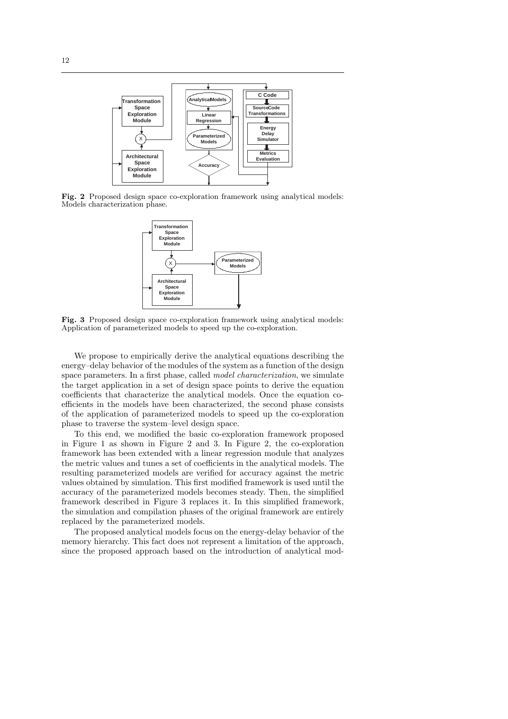

Fig. 2 Proposed design space co-exploration framework using analytical models: Models characterization phase.



Fig. 3 Proposed design space co-exploration framework using analytical models: Application of parameterized models to speed up the co-exploration.

We propose to empirically derive the analytical equations describing the energy–delay behavior of the modules of the system as a function of the design space parameters. In a first phase, called *model characterization*, we simulate the target application in a set of design space points to derive the equation coefficients that characterize the analytical models. Once the equation coefficients in the models have been characterized, the second phase consists of the application of parameterized models to speed up the co-exploration phase to traverse the system–level design space.

To this end, we modified the basic co-exploration framework proposed in Figure 1 as shown in Figure 2 and 3. In Figure 2, the co-exploration framework has been extended with a linear regression module that analyzes the metric values and tunes a set of coefficients in the analytical models. The resulting parameterized models are verified for accuracy against the metric values obtained by simulation. This first modified framework is used until the accuracy of the parameterized models becomes steady. Then, the simplified framework described in Figure 3 replaces it. In this simplified framework, the simulation and compilation phases of the original framework are entirely replaced by the parameterized models.

The proposed analytical models focus on the energy-delay behavior of the memory hierarchy. This fact does not represent a limitation of the approach, since the proposed approach based on the introduction of analytical mod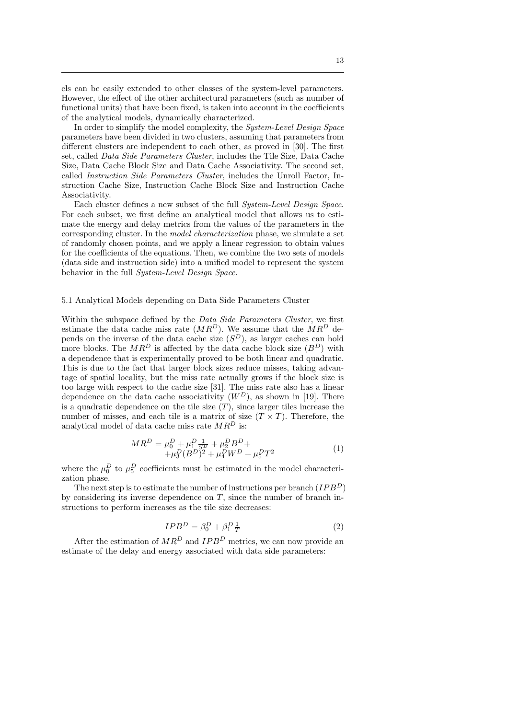els can be easily extended to other classes of the system-level parameters. However, the effect of the other architectural parameters (such as number of functional units) that have been fixed, is taken into account in the coefficients of the analytical models, dynamically characterized.

In order to simplify the model complexity, the *System-Level Design Space* parameters have been divided in two clusters, assuming that parameters from different clusters are independent to each other, as proved in [30]. The first set, called Data Side Parameters Cluster, includes the Tile Size, Data Cache Size, Data Cache Block Size and Data Cache Associativity. The second set, called Instruction Side Parameters Cluster, includes the Unroll Factor, Instruction Cache Size, Instruction Cache Block Size and Instruction Cache Associativity.

Each cluster defines a new subset of the full System-Level Design Space. For each subset, we first define an analytical model that allows us to estimate the energy and delay metrics from the values of the parameters in the corresponding cluster. In the model characterization phase, we simulate a set of randomly chosen points, and we apply a linear regression to obtain values for the coefficients of the equations. Then, we combine the two sets of models (data side and instruction side) into a unified model to represent the system behavior in the full System-Level Design Space.

#### 5.1 Analytical Models depending on Data Side Parameters Cluster

Within the subspace defined by the *Data Side Parameters Cluster*, we first estimate the data cache miss rate  $(MR^D)$ . We assume that the  $MR^D$  depends on the inverse of the data cache size  $(S^D)$ , as larger caches can hold more blocks. The  $MR^D$  is affected by the data cache block size  $(B^D)$  with a dependence that is experimentally proved to be both linear and quadratic. This is due to the fact that larger block sizes reduce misses, taking advantage of spatial locality, but the miss rate actually grows if the block size is too large with respect to the cache size [31]. The miss rate also has a linear dependence on the data cache associativity  $(W^D)$ , as shown in [19]. There is a quadratic dependence on the tile size  $(T)$ , since larger tiles increase the number of misses, and each tile is a matrix of size  $(T \times T)$ . Therefore, the analytical model of data cache miss rate  $MR^D$  is:

$$
MR^{D} = \mu_{0}^{D} + \mu_{1}^{D} \frac{1}{S^{D}} + \mu_{2}^{D} B^{D} + + \mu_{3}^{D} (B^{D})^{2} + \mu_{4}^{D} W^{D} + \mu_{5}^{D} T^{2}
$$
 (1)

where the  $\mu_0^D$  to  $\mu_5^D$  coefficients must be estimated in the model characterization phase.

The next step is to estimate the number of instructions per branch  $(IPB<sup>D</sup>)$ by considering its inverse dependence on  $T$ , since the number of branch instructions to perform increases as the tile size decreases:

$$
IPB^D = \beta_0^D + \beta_1^D \frac{1}{T}
$$
 (2)

After the estimation of  $MR^D$  and  $IPB^D$  metrics, we can now provide an estimate of the delay and energy associated with data side parameters: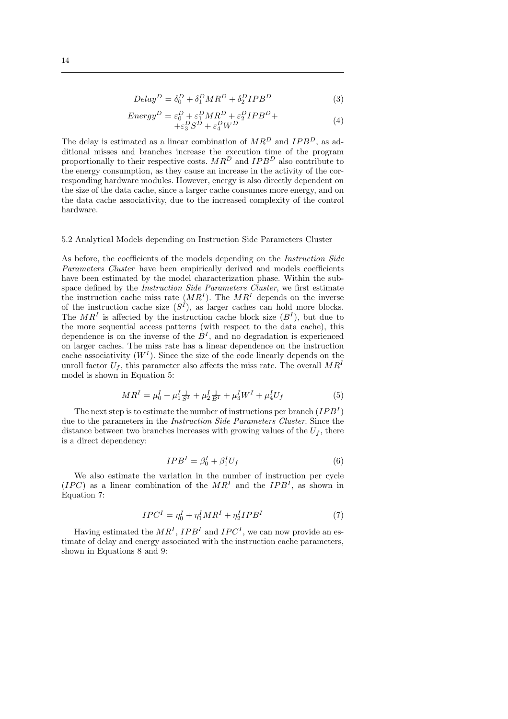$$
Delay^D = \delta_0^D + \delta_1^D MR^D + \delta_2^D IPB^D \tag{3}
$$

$$
Energy^D = \varepsilon_0^D + \varepsilon_1^D M R^D + \varepsilon_2^D I P B^D + + \varepsilon_3^D S^D + \varepsilon_4^D W^D
$$
\n(4)

The delay is estimated as a linear combination of  $MR^D$  and  $IPB^D$ , as additional misses and branches increase the execution time of the program proportionally to their respective costs.  $MR^D$  and  $IPB^D$  also contribute to the energy consumption, as they cause an increase in the activity of the corresponding hardware modules. However, energy is also directly dependent on the size of the data cache, since a larger cache consumes more energy, and on the data cache associativity, due to the increased complexity of the control hardware.

#### 5.2 Analytical Models depending on Instruction Side Parameters Cluster

As before, the coefficients of the models depending on the *Instruction Side* Parameters Cluster have been empirically derived and models coefficients have been estimated by the model characterization phase. Within the subspace defined by the *Instruction Side Parameters Cluster*, we first estimate the instruction cache miss rate  $(MR^{I}).$  The  $MR^{I}$  depends on the inverse of the instruction cache size  $(S<sup>I</sup>)$ , as larger caches can hold more blocks. The  $MR<sup>I</sup>$  is affected by the instruction cache block size  $(B<sup>I</sup>)$ , but due to the more sequential access patterns (with respect to the data cache), this dependence is on the inverse of the  $B<sup>I</sup>$ , and no degradation is experienced on larger caches. The miss rate has a linear dependence on the instruction cache associativity  $(W<sup>I</sup>)$ . Since the size of the code linearly depends on the unroll factor  $U_f$ , this parameter also affects the miss rate. The overall  $MR^I$ model is shown in Equation 5:

$$
MR^{I} = \mu_0^{I} + \mu_1^{I} \frac{1}{S^{I}} + \mu_2^{I} \frac{1}{B^{I}} + \mu_3^{I} W^{I} + \mu_4^{I} U_f
$$
 (5)

The next step is to estimate the number of instructions per branch  $(IPB<sup>I</sup>)$ due to the parameters in the Instruction Side Parameters Cluster. Since the distance between two branches increases with growing values of the  $U_f$ , there is a direct dependency:

$$
IPBI = \beta_0^I + \beta_1^I U_f \tag{6}
$$

We also estimate the variation in the number of instruction per cycle  $(IPC)$  as a linear combination of the  $MR<sup>I</sup>$  and the  $IPB<sup>I</sup>$ , as shown in Equation 7:

$$
IPC^I = \eta_0^I + \eta_1^I MR^I + \eta_2^I IPB^I \tag{7}
$$

Having estimated the  $MR<sup>I</sup>$ ,  $IPB<sup>I</sup>$  and  $IPC<sup>I</sup>$ , we can now provide an estimate of delay and energy associated with the instruction cache parameters, shown in Equations 8 and 9: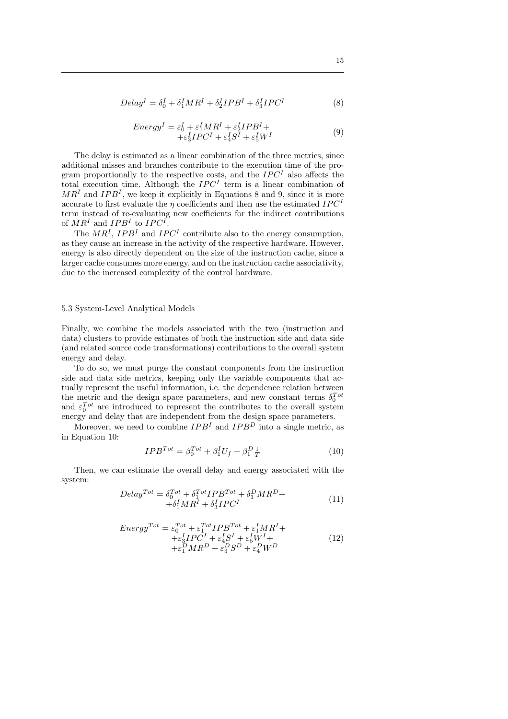$$
Delay^{I} = \delta_0^{I} + \delta_1^{I}MR^{I} + \delta_2^{I}IPB^{I} + \delta_3^{I}IPC^{I}
$$
\n(8)

$$
EnergyI = \varepsilon_0^I + \varepsilon_1^I MR^I + \varepsilon_2^I IPB^I + + \varepsilon_3^I IPC^I + \varepsilon_4^I S^I + \varepsilon_5^I W^I
$$
\n(9)

The delay is estimated as a linear combination of the three metrics, since additional misses and branches contribute to the execution time of the program proportionally to the respective costs, and the  $IPC<sup>I</sup>$  also affects the total execution time. Although the  $IPC<sup>I</sup>$  term is a linear combination of  $MR<sup>I</sup>$  and  $IPB<sup>I</sup>$ , we keep it explicitly in Equations 8 and 9, since it is more accurate to first evaluate the  $\eta$  coefficients and then use the estimated  $IPC<sup>I</sup>$ term instead of re-evaluating new coefficients for the indirect contributions of  $MR^I$  and  $IPB^I$  to  $IPC^I$ .

The  $MR<sup>I</sup>$ ,  $IPB<sup>I</sup>$  and  $IPC<sup>I</sup>$  contribute also to the energy consumption, as they cause an increase in the activity of the respective hardware. However, energy is also directly dependent on the size of the instruction cache, since a larger cache consumes more energy, and on the instruction cache associativity, due to the increased complexity of the control hardware.

#### 5.3 System-Level Analytical Models

Finally, we combine the models associated with the two (instruction and data) clusters to provide estimates of both the instruction side and data side (and related source code transformations) contributions to the overall system energy and delay.

To do so, we must purge the constant components from the instruction side and data side metrics, keeping only the variable components that actually represent the useful information, i.e. the dependence relation between the metric and the design space parameters, and new constant terms  $\delta_0^{Tot}$ and  $\varepsilon_0^{Tot}$  are introduced to represent the contributes to the overall system energy and delay that are independent from the design space parameters.

Moreover, we need to combine  $IPB<sup>I</sup>$  and  $IPB<sup>D</sup>$  into a single metric, as in Equation 10:

$$
IPB^{Tot} = \beta_0^{Tot} + \beta_1^I U_f + \beta_1^D \frac{1}{T}
$$
 (10)

Then, we can estimate the overall delay and energy associated with the system:

$$
Delay^{Tot} = \delta_0^{Tot} + \delta_1^{Tot} IPB^{Tot} + \delta_1^D MR^D + + \delta_1^I MR^I + \delta_3^I IPC^I
$$
\n(11)

$$
Energy^{Tot} = \varepsilon_0^{Tot} + \varepsilon_1^{Tot} IPB^{Tot} + \varepsilon_1^I MR^I + + \varepsilon_3^I PC^I + \varepsilon_4^I S^I + \varepsilon_5^I W^I + + \varepsilon_1^D MR^D + \varepsilon_3^D S^D + \varepsilon_4^D W^D
$$
\n(12)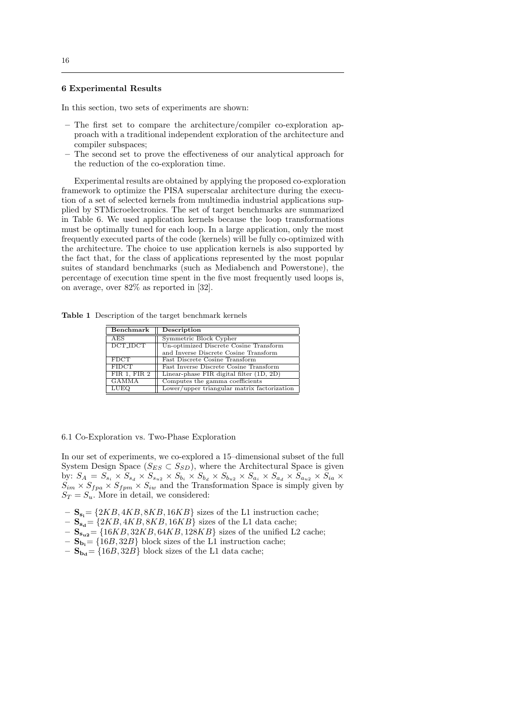# 6 Experimental Results

In this section, two sets of experiments are shown:

- The first set to compare the architecture/compiler co-exploration approach with a traditional independent exploration of the architecture and compiler subspaces;
- The second set to prove the effectiveness of our analytical approach for the reduction of the co-exploration time.

Experimental results are obtained by applying the proposed co-exploration framework to optimize the PISA superscalar architecture during the execution of a set of selected kernels from multimedia industrial applications supplied by STMicroelectronics. The set of target benchmarks are summarized in Table 6. We used application kernels because the loop transformations must be optimally tuned for each loop. In a large application, only the most frequently executed parts of the code (kernels) will be fully co-optimized with the architecture. The choice to use application kernels is also supported by the fact that, for the class of applications represented by the most popular suites of standard benchmarks (such as Mediabench and Powerstone), the percentage of execution time spent in the five most frequently used loops is, on average, over 82% as reported in [32].

Table 1 Description of the target benchmark kernels

| Benchmark       | Description                                 |
|-----------------|---------------------------------------------|
| <b>AES</b>      | Symmetric Block Cypher                      |
| <b>DCT_IDCT</b> | Un-optimized Discrete Cosine Transform      |
|                 | and Inverse Discrete Cosine Transform       |
| <b>FDCT</b>     | Fast Discrete Cosine Transform              |
| <b>FIDCT</b>    | Fast Inverse Discrete Cosine Transform      |
| FIR 1, FIR 2    | Linear-phase FIR digital filter (1D, 2D)    |
| GAMMA           | Computes the gamma coefficients             |
| LUEO            | Lower/upper triangular matrix factorization |

6.1 Co-Exploration vs. Two-Phase Exploration

In our set of experiments, we co-explored a 15–dimensional subset of the full System Design Space  $(S_{ES} \subset S_{SD})$ , where the Architectural Space is given by:  $S_A = S_{s_i} \times S_{s_d} \times S_{s_{u2}} \times S_{b_i} \times S_{b_d} \times S_{b_{u2}} \times S_{a_i} \times S_{a_d} \times S_{a_{u2}} \times S_{ia} \times$  $S_{im} \times S_{fpa} \times S_{fpm} \times S_{iw}$  and the Transformation Space is simply given by  $S_T = S_u$ . More in detail, we considered:

- $S_{s_i} = \{2KB, 4KB, 8KB, 16KB\}$  sizes of the L1 instruction cache;
- $\mathbf{S}_{\mathbf{s}_{d}} = \{2KB, 4KB, 8KB, 16KB\}$  sizes of the L1 data cache;
- $\mathbf{S}_{s_{u2}} = \{16KB, 32KB, 64KB, 128KB\}$  sizes of the unified L2 cache;
- $-$  S<sub>b<sub>i</sub></sub> = {16*B*, 32*B*} block sizes of the L1 instruction cache;
- $\mathbf{S}_{\mathbf{b}_{d}} = \{16B, 32B\}$  block sizes of the L1 data cache;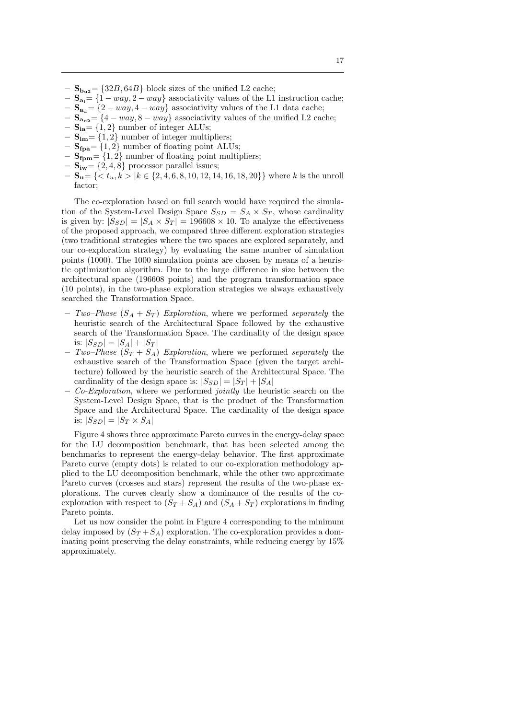- $S_{b_{u2}} = \{32B, 64B\}$  block sizes of the unified L2 cache;
- $\mathbf{S}_{\mathbf{a}_i} = \{1 way, 2 way\}$  associativity values of the L1 instruction cache;
- $S_{\bf{a}_{d}} = \{2 way, 4 way\}$  associativity values of the L1 data cache;
- $-\mathbf{S}_{a_{12}} = \{4 way, 8 way\}$  associativity values of the unified L2 cache;
- $S_{ia} = \{1, 2\}$  number of integer ALUs;
- $\mathbf{S}_{im} = \{1, 2\}$  number of integer multipliers;
- $S_{\text{fpa}} = \{1, 2\}$  number of floating point ALUs;
- $S_{\text{fpm}} = \{1, 2\}$  number of floating point multipliers;
- $\mathbf{S}_{iw} = \{2, 4, 8\}$  processor parallel issues;
- $\mathbf{S_u}$  = { $\lt t_u$ ,  $k > |k \in \{2, 4, 6, 8, 10, 12, 14, 16, 18, 20\}$ } where k is the unroll factor;

The co-exploration based on full search would have required the simulation of the System-Level Design Space  $S_{SD} = S_A \times S_T$ , whose cardinality is given by:  $|S_{SD}| = |S_A \times S_T| = 196608 \times 10$ . To analyze the effectiveness of the proposed approach, we compared three different exploration strategies (two traditional strategies where the two spaces are explored separately, and our co-exploration strategy) by evaluating the same number of simulation points (1000). The 1000 simulation points are chosen by means of a heuristic optimization algorithm. Due to the large difference in size between the architectural space (196608 points) and the program transformation space (10 points), in the two-phase exploration strategies we always exhaustively searched the Transformation Space.

- Two–Phase  $(S_A + S_T)$  Exploration, where we performed separately the heuristic search of the Architectural Space followed by the exhaustive search of the Transformation Space. The cardinality of the design space is:  $|S_{SD}| = |S_A| + |S_T|$
- Two–Phase  $(S_T + S_A)$  Exploration, where we performed separately the exhaustive search of the Transformation Space (given the target architecture) followed by the heuristic search of the Architectural Space. The cardinality of the design space is:  $|S_{SD}| = |S_T| + |S_A|$
- $-$  Co-Exploration, where we performed jointly the heuristic search on the System-Level Design Space, that is the product of the Transformation Space and the Architectural Space. The cardinality of the design space is:  $|S_{SD}| = |S_T \times S_A|$

Figure 4 shows three approximate Pareto curves in the energy-delay space for the LU decomposition benchmark, that has been selected among the benchmarks to represent the energy-delay behavior. The first approximate Pareto curve (empty dots) is related to our co-exploration methodology applied to the LU decomposition benchmark, while the other two approximate Pareto curves (crosses and stars) represent the results of the two-phase explorations. The curves clearly show a dominance of the results of the coexploration with respect to  $(S_T + S_A)$  and  $(S_A + S_T)$  explorations in finding Pareto points.

Let us now consider the point in Figure 4 corresponding to the minimum delay imposed by  $(S_T + S_A)$  exploration. The co-exploration provides a dominating point preserving the delay constraints, while reducing energy by 15% approximately.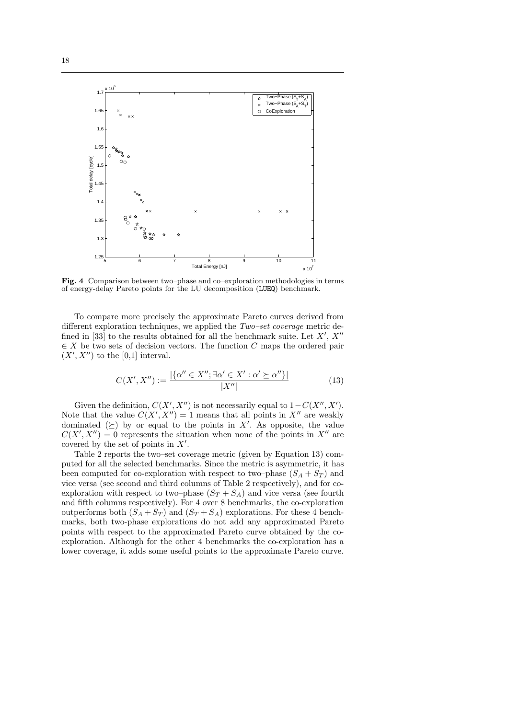

Fig. 4 Comparison between two–phase and co–exploration methodologies in terms of energy-delay Pareto points for the LU decomposition (LUEQ) benchmark.

To compare more precisely the approximate Pareto curves derived from different exploration techniques, we applied the Two–set coverage metric defined in [33] to the results obtained for all the benchmark suite. Let  $X', X''$  $\in X$  be two sets of decision vectors. The function C maps the ordered pair  $(X', X'')$  to the [0,1] interval.

$$
C(X', X'') := \frac{|\{\alpha'' \in X''; \exists \alpha' \in X' : \alpha' \succeq \alpha''\}|}{|X''|}
$$
(13)

Given the definition,  $C(X', X'')$  is not necessarily equal to  $1-C(X'', X')$ . Note that the value  $C(X', X'') = 1$  means that all points in  $X''$  are weakly dominated  $(\succeq)$  by or equal to the points in X'. As opposite, the value  $C(X', X'') = 0$  represents the situation when none of the points in X'' are covered by the set of points in  $X'$ .

Table 2 reports the two–set coverage metric (given by Equation 13) computed for all the selected benchmarks. Since the metric is asymmetric, it has been computed for co-exploration with respect to two–phase  $(S_A + S_T)$  and vice versa (see second and third columns of Table 2 respectively), and for coexploration with respect to two–phase  $(S_T + S_A)$  and vice versa (see fourth and fifth columns respectively). For 4 over 8 benchmarks, the co-exploration outperforms both  $(S_A + S_T)$  and  $(S_T + S_A)$  explorations. For these 4 benchmarks, both two-phase explorations do not add any approximated Pareto points with respect to the approximated Pareto curve obtained by the coexploration. Although for the other 4 benchmarks the co-exploration has a lower coverage, it adds some useful points to the approximate Pareto curve.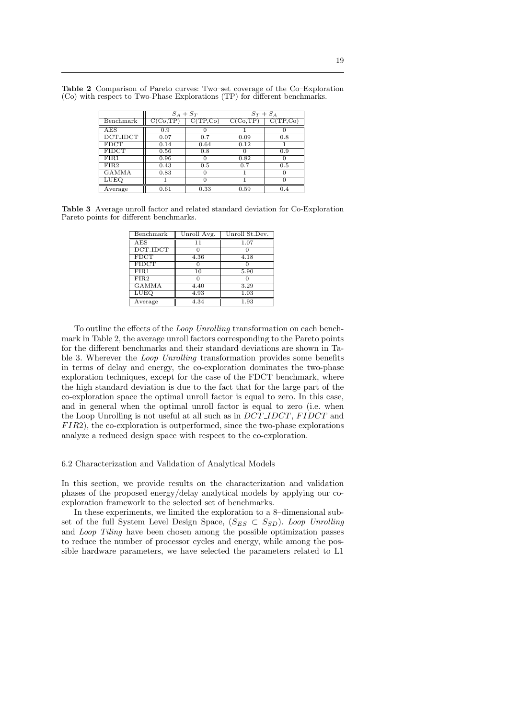|                 | $S_A + S_T$            |           | $S_T + S_A$            |           |
|-----------------|------------------------|-----------|------------------------|-----------|
| Benchmark       | $\overline{C(C_0,TP)}$ | C(TP, Co) | $\overline{C(C_0,TP)}$ | C(TP, Co) |
| AES             | 0.9                    |           |                        |           |
| <b>DCT_IDCT</b> | 0.07                   | 0.7       | 0.09                   | 0.8       |
| <b>FDCT</b>     | 0.14                   | 0.64      | 0.12                   |           |
| <b>FIDCT</b>    | 0.56                   | 0.8       |                        | 0.9       |
| FIR1            | 0.96                   |           | 0.82                   |           |
| FIR2            | 0.43                   | 0.5       | 0.7                    | 0.5       |
| <b>GAMMA</b>    | 0.83                   |           |                        |           |
| <b>LUEQ</b>     |                        | O         |                        |           |
| Average         | 0.61                   | 0.33      | 0.59                   | 0.4       |

Table 2 Comparison of Pareto curves: Two–set coverage of the Co–Exploration (Co) with respect to Two-Phase Explorations (TP) for different benchmarks.

Table 3 Average unroll factor and related standard deviation for Co-Exploration Pareto points for different benchmarks.

| Benchmark       | Unroll Avg. | Unroll St.Dev. |
|-----------------|-------------|----------------|
| AES             | 11          | 1.07           |
| <b>DCT_IDCT</b> |             |                |
| <b>FDCT</b>     | 4.36        | 4.18           |
| <b>FIDCT</b>    |             |                |
| FIR1            | 10          | 5.90           |
| FIR2            |             |                |
| <b>GAMMA</b>    | 4.40        | 3.29           |
| <b>LUEQ</b>     | 4.93        | 1.03           |
| Average         | 4.34        | 1.93           |

To outline the effects of the Loop Unrolling transformation on each benchmark in Table 2, the average unroll factors corresponding to the Pareto points for the different benchmarks and their standard deviations are shown in Table 3. Wherever the Loop Unrolling transformation provides some benefits in terms of delay and energy, the co-exploration dominates the two-phase exploration techniques, except for the case of the FDCT benchmark, where the high standard deviation is due to the fact that for the large part of the co-exploration space the optimal unroll factor is equal to zero. In this case, and in general when the optimal unroll factor is equal to zero (i.e. when the Loop Unrolling is not useful at all such as in DCT\_IDCT, FIDCT and  $FIR2$ ), the co-exploration is outperformed, since the two-phase explorations analyze a reduced design space with respect to the co-exploration.

6.2 Characterization and Validation of Analytical Models

In this section, we provide results on the characterization and validation phases of the proposed energy/delay analytical models by applying our coexploration framework to the selected set of benchmarks.

In these experiments, we limited the exploration to a 8–dimensional subset of the full System Level Design Space,  $(S_{ES} \subset S_{SD})$ . Loop Unrolling and Loop Tiling have been chosen among the possible optimization passes to reduce the number of processor cycles and energy, while among the possible hardware parameters, we have selected the parameters related to L1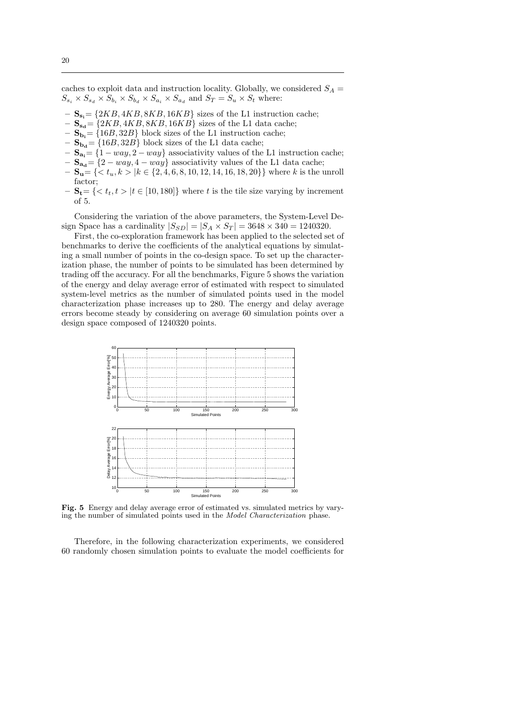caches to exploit data and instruction locality. Globally, we considered  $S_A$  =  $S_{s_i} \times S_{s_d} \times S_{b_i} \times S_{b_d} \times S_{a_i} \times S_{a_d}$  and  $S_T = S_u \times S_t$  where:

- $\mathbf{S}_{\mathbf{s}}$  = {2KB, 4KB, 8KB, 16KB} sizes of the L1 instruction cache;
- $S_{s_d}$  = {2KB, 4KB, 8KB, 16KB} sizes of the L1 data cache;
- $-$  S<sub>b</sub><sub>i</sub> = {16*B*, 32*B*} block sizes of the L1 instruction cache;
- $S_{\mathbf{b}_d} = \{16B, 32B\}$  block sizes of the L1 data cache;
- $\mathbf{S}_{\mathbf{a_i}} = \{1 way, 2 way\}$  associativity values of the L1 instruction cache;
- $S_{a_d} = \{2 way, 4 way\}$  associativity values of the L1 data cache;
- $\mathbf{S}_u$  = { < t<sub>u</sub>, k > |k ∈ {2, 4, 6, 8, 10, 12, 14, 16, 18, 20}} where k is the unroll factor;
- $S_t = \{ < t_t, t > |t \in [10, 180] \}$  where t is the tile size varying by increment  $of 5$ .

Considering the variation of the above parameters, the System-Level Design Space has a cardinality  $|S_{SD}| = |S_A \times S_T| = 3648 \times 340 = 1240320$ .

First, the co-exploration framework has been applied to the selected set of benchmarks to derive the coefficients of the analytical equations by simulating a small number of points in the co-design space. To set up the characterization phase, the number of points to be simulated has been determined by trading off the accuracy. For all the benchmarks, Figure 5 shows the variation of the energy and delay average error of estimated with respect to simulated system-level metrics as the number of simulated points used in the model characterization phase increases up to 280. The energy and delay average errors become steady by considering on average 60 simulation points over a design space composed of 1240320 points.



Fig. 5 Energy and delay average error of estimated vs. simulated metrics by varying the number of simulated points used in the Model Characterization phase.

Therefore, in the following characterization experiments, we considered 60 randomly chosen simulation points to evaluate the model coefficients for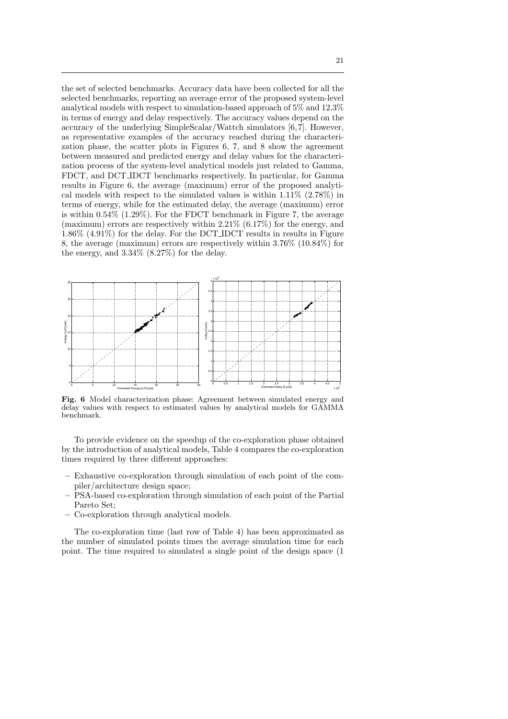the set of selected benchmarks. Accuracy data have been collected for all the selected benchmarks, reporting an average error of the proposed system-level analytical models with respect to simulation-based approach of 5% and 12.3% in terms of energy and delay respectively. The accuracy values depend on the accuracy of the underlying SimpleScalar/Wattch simulators [6,7]. However, as representative examples of the accuracy reached during the characterization phase, the scatter plots in Figures 6, 7, and 8 show the agreement between measured and predicted energy and delay values for the characterization process of the system-level analytical models just related to Gamma, FDCT, and DCT IDCT benchmarks respectively. In particular, for Gamma results in Figure 6, the average (maximum) error of the proposed analytical models with respect to the simulated values is within 1.11% (2.78%) in terms of energy, while for the estimated delay, the average (maximum) error is within  $0.54\%$  (1.29%). For the FDCT benchmark in Figure 7, the average (maximum) errors are respectively within  $2.21\%$  (6.17%) for the energy, and 1.86% (4.91%) for the delay. For the DCT IDCT results in results in Figure 8, the average (maximum) errors are respectively within 3.76% (10.84%) for the energy, and 3.34% (8.27%) for the delay.



Fig. 6 Model characterization phase: Agreement between simulated energy and delay values with respect to estimated values by analytical models for GAMMA benchmark.

To provide evidence on the speedup of the co-exploration phase obtained by the introduction of analytical models, Table 4 compares the co-exploration times required by three different approaches:

- Exhaustive co-exploration through simulation of each point of the compiler/architecture design space;
- PSA-based co-exploration through simulation of each point of the Partial Pareto Set;
- Co-exploration through analytical models.

The co-exploration time (last row of Table 4) has been approximated as the number of simulated points times the average simulation time for each point. The time required to simulated a single point of the design space (1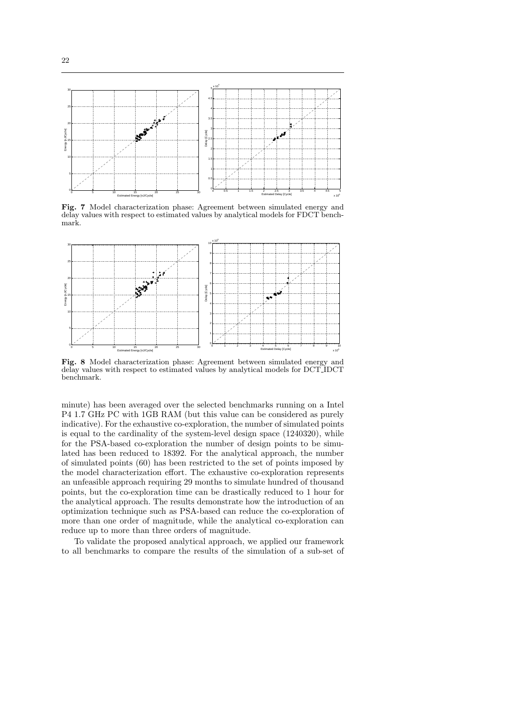

Fig. 7 Model characterization phase: Agreement between simulated energy and delay values with respect to estimated values by analytical models for FDCT benchmark.



Fig. 8 Model characterization phase: Agreement between simulated energy and delay values with respect to estimated values by analytical models for DCT IDCT benchmark.

minute) has been averaged over the selected benchmarks running on a Intel P4 1.7 GHz PC with 1GB RAM (but this value can be considered as purely indicative). For the exhaustive co-exploration, the number of simulated points is equal to the cardinality of the system-level design space (1240320), while for the PSA-based co-exploration the number of design points to be simulated has been reduced to 18392. For the analytical approach, the number of simulated points (60) has been restricted to the set of points imposed by the model characterization effort. The exhaustive co-exploration represents an unfeasible approach requiring 29 months to simulate hundred of thousand points, but the co-exploration time can be drastically reduced to 1 hour for the analytical approach. The results demonstrate how the introduction of an optimization technique such as PSA-based can reduce the co-exploration of more than one order of magnitude, while the analytical co-exploration can reduce up to more than three orders of magnitude.

To validate the proposed analytical approach, we applied our framework to all benchmarks to compare the results of the simulation of a sub-set of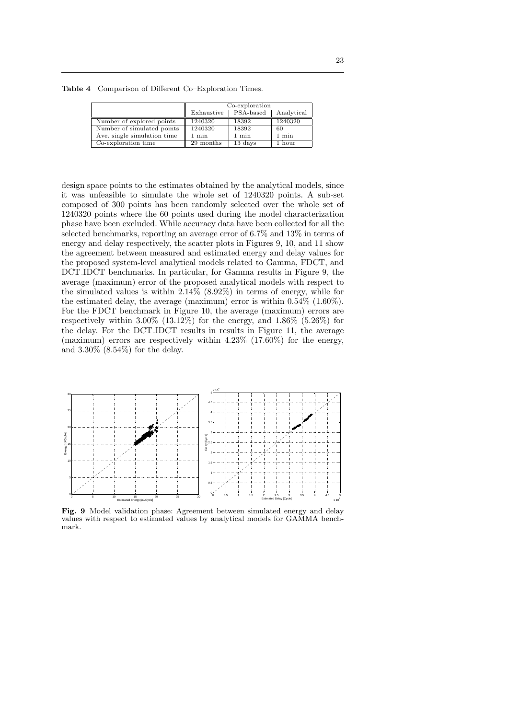| ٧       |
|---------|
| ٦<br>۰. |

|                             | Co-exploration  |           |                 |
|-----------------------------|-----------------|-----------|-----------------|
|                             | Exhaustive      | PSA-based | Analytical      |
| Number of explored points   | 1240320         | 18392     | 1240320         |
| Number of simulated points  | 1240320         | 18392     | 60              |
| Ave. single simulation time | $1 \text{ min}$ | min       | $1 \text{ min}$ |
| Co-exploration time         | 29 months       | 13 days   | 1 hour          |

Table 4 Comparison of Different Co–Exploration Times.

design space points to the estimates obtained by the analytical models, since it was unfeasible to simulate the whole set of 1240320 points. A sub-set composed of 300 points has been randomly selected over the whole set of 1240320 points where the 60 points used during the model characterization phase have been excluded. While accuracy data have been collected for all the selected benchmarks, reporting an average error of 6.7% and 13% in terms of energy and delay respectively, the scatter plots in Figures 9, 10, and 11 show the agreement between measured and estimated energy and delay values for the proposed system-level analytical models related to Gamma, FDCT, and DCT IDCT benchmarks. In particular, for Gamma results in Figure 9, the average (maximum) error of the proposed analytical models with respect to the simulated values is within 2.14% (8.92%) in terms of energy, while for the estimated delay, the average (maximum) error is within 0.54% (1.60%). For the FDCT benchmark in Figure 10, the average (maximum) errors are respectively within  $3.00\%$  (13.12%) for the energy, and  $1.86\%$  (5.26%) for the delay. For the DCT IDCT results in results in Figure 11, the average (maximum) errors are respectively within 4.23% (17.60%) for the energy, and 3.30% (8.54%) for the delay.



Fig. 9 Model validation phase: Agreement between simulated energy and delay values with respect to estimated values by analytical models for GAMMA benchmark.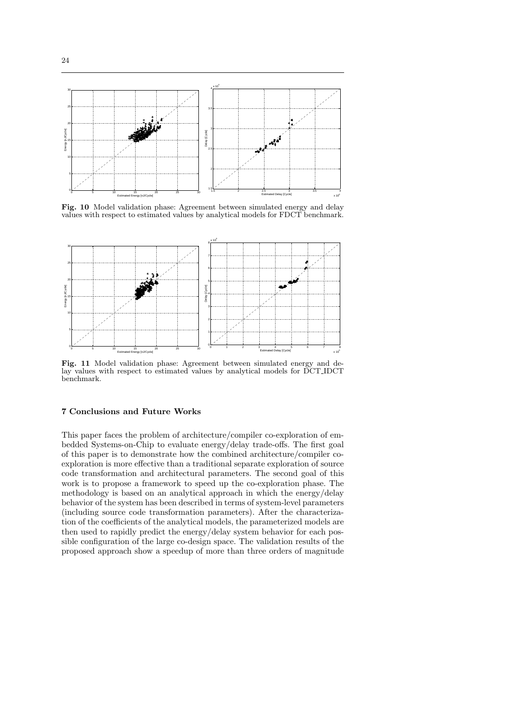

Fig. 10 Model validation phase: Agreement between simulated energy and delay values with respect to estimated values by analytical models for FDCT benchmark.



Fig. 11 Model validation phase: Agreement between simulated energy and delay values with respect to estimated values by analytical models for DCT IDCT benchmark.

## 7 Conclusions and Future Works

This paper faces the problem of architecture/compiler co-exploration of embedded Systems-on-Chip to evaluate energy/delay trade-offs. The first goal of this paper is to demonstrate how the combined architecture/compiler coexploration is more effective than a traditional separate exploration of source code transformation and architectural parameters. The second goal of this work is to propose a framework to speed up the co-exploration phase. The methodology is based on an analytical approach in which the energy/delay behavior of the system has been described in terms of system-level parameters (including source code transformation parameters). After the characterization of the coefficients of the analytical models, the parameterized models are then used to rapidly predict the energy/delay system behavior for each possible configuration of the large co-design space. The validation results of the proposed approach show a speedup of more than three orders of magnitude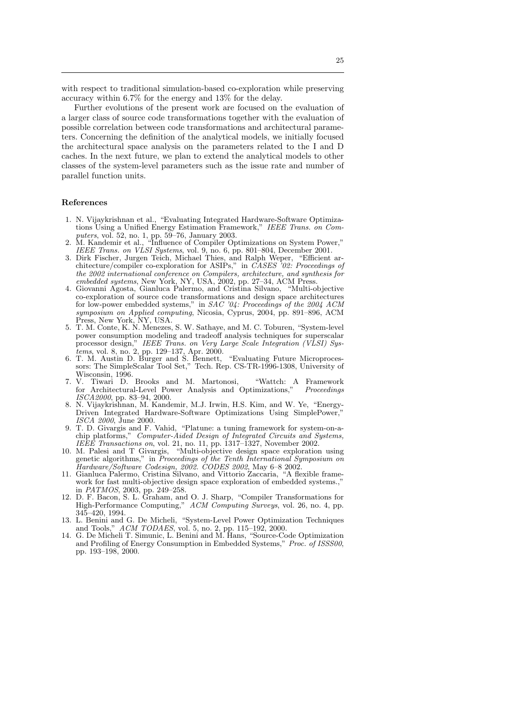with respect to traditional simulation-based co-exploration while preserving accuracy within 6.7% for the energy and 13% for the delay.

Further evolutions of the present work are focused on the evaluation of a larger class of source code transformations together with the evaluation of possible correlation between code transformations and architectural parameters. Concerning the definition of the analytical models, we initially focused the architectural space analysis on the parameters related to the I and D caches. In the next future, we plan to extend the analytical models to other classes of the system-level parameters such as the issue rate and number of parallel function units.

#### References

- 1. N. Vijaykrishnan et al., "Evaluating Integrated Hardware-Software Optimizations Using a Unified Energy Estimation Framework," IEEE Trans. on Computers, vol. 52, no. 1, pp. 59–76, January 2003.
- 2. M. Kandemir et al., "Influence of Compiler Optimizations on System Power," IEEE Trans. on *VLSI Systems*, vol. 9, no. 6, pp. 801–804, December 2001.
- 3. Dirk Fischer, Jurgen Teich, Michael Thies, and Ralph Weper, "Efficient architecture/compiler co-exploration for ASIPs," in CASES '02: Proceedings of the 2002 international conference on Compilers, architecture, and synthesis for embedded systems, New York, NY, USA, 2002, pp. 27–34, ACM Press.
- 4. Giovanni Agosta, Gianluca Palermo, and Cristina Silvano, "Multi-objective co-exploration of source code transformations and design space architectures for low-power embedded systems," in SAC '04: Proceedings of the 2004 ACM symposium on Applied computing, Nicosia, Cyprus, 2004, pp. 891–896, ACM Press, New York, NY, USA.
- 5. T. M. Conte, K. N. Menezes, S. W. Sathaye, and M. C. Toburen, "System-level power consumption modeling and tradeoff analysis techniques for superscalar processor design," IEEE Trans. on Very Large Scale Integration (VLSI) Systems, vol. 8, no. 2, pp. 129–137, Apr. 2000.
- 6. T. M. Austin D. Burger and S. Bennett, "Evaluating Future Microprocessors: The SimpleScalar Tool Set," Tech. Rep. CS-TR-1996-1308, University of Wisconsin, 1996.
- 7. V. Tiwari D. Brooks and M. Martonosi, "Wattch: A Framework for Architectural-Level Power Analysis and Optimizations," Proceedings ISCA2000, pp. 83-94, 2000.
- 8. N. Vijaykrishnan, M. Kandemir, M.J. Irwin, H.S. Kim, and W. Ye, "Energy-Driven Integrated Hardware-Software Optimizations Using SimplePower, ISCA 2000, June 2000.
- 9. T. D. Givargis and F. Vahid, "Platune: a tuning framework for system-on-achip platforms," Computer-Aided Design of Integrated Circuits and Systems, IEEE Transactions on, vol. 21, no. 11, pp. 1317–1327, November 2002.
- 10. M. Palesi and T Givargis, "Multi-objective design space exploration using genetic algorithms," in Proceedings of the Tenth International Symposium on Hardware/Software Codesign, 2002. CODES 2002, May 6–8 2002.
- 11. Gianluca Palermo, Cristina Silvano, and Vittorio Zaccaria, "A flexible framework for fast multi-objective design space exploration of embedded systems.," in PATMOS, 2003, pp. 249–258.
- 12. D. F. Bacon, S. L. Graham, and O. J. Sharp, "Compiler Transformations for High-Performance Computing," ACM Computing Surveys, vol. 26, no. 4, pp. 345–420, 1994.
- 13. L. Benini and G. De Micheli, "System-Level Power Optimization Techniques and Tools," ACM TODAES, vol. 5, no. 2, pp. 115–192, 2000.
- 14. G. De Micheli T. Simunic, L. Benini and M. Hans, "Source-Code Optimization and Profiling of Energy Consumption in Embedded Systems," Proc. of ISSS00, pp. 193–198, 2000.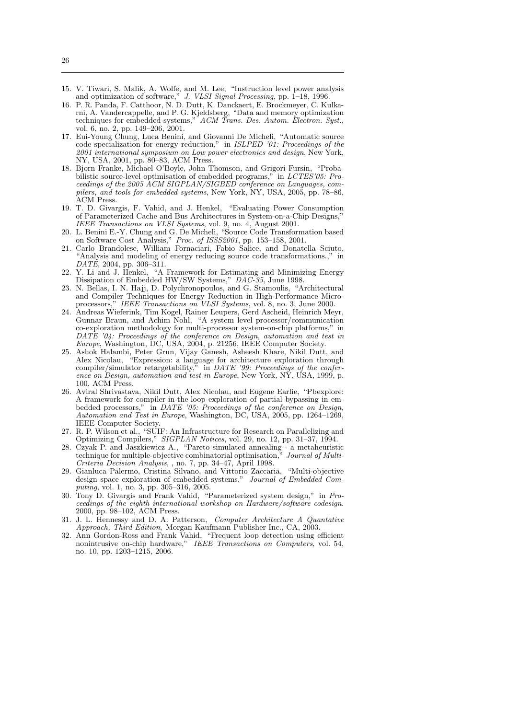- 15. V. Tiwari, S. Malik, A. Wolfe, and M. Lee, "Instruction level power analysis and optimization of software," J. VLSI Signal Processing, pp. 1–18, 1996.
- 16. P. R. Panda, F. Catthoor, N. D. Dutt, K. Danckaert, E. Brockmeyer, C. Kulkarni, A. Vandercappelle, and P. G. Kjeldsberg, "Data and memory optimization techniques for embedded systems," ACM Trans. Des. Autom. Electron. Syst., vol. 6, no. 2, pp. 149–206, 2001.
- 17. Eui-Young Chung, Luca Benini, and Giovanni De Micheli, "Automatic source code specialization for energy reduction," in ISLPED '01: Proceedings of the 2001 international symposium on Low power electronics and design, New York, NY, USA, 2001, pp. 80–83, ACM Press.
- 18. Bjorn Franke, Michael O'Boyle, John Thomson, and Grigori Fursin, "Probabilistic source-level optimisation of embedded programs," in LCTES'05: Proceedings of the 2005 ACM SIGPLAN/SIGBED conference on Languages, compilers, and tools for embedded systems, New York, NY, USA, 2005, pp. 78–86, ACM Press.
- 19. T. D. Givargis, F. Vahid, and J. Henkel, "Evaluating Power Consumption of Parameterized Cache and Bus Architectures in System-on-a-Chip Designs," IEEE Transactions on VLSI Systems, vol. 9, no. 4, August 2001.
- 20. L. Benini E.-Y. Chung and G. De Micheli, "Source Code Transformation based on Software Cost Analysis," Proc. of ISSS2001, pp. 153–158, 2001.
- 21. Carlo Brandolese, William Fornaciari, Fabio Salice, and Donatella Sciuto, "Analysis and modeling of energy reducing source code transformations.," in  $DATA\check{E}$ , 2004, pp. 306–311.
- 22. Y. Li and J. Henkel, "A Framework for Estimating and Minimizing Energy Dissipation of Embedded HW/SW Systems," DAC-35, June 1998.
- 23. N. Bellas, I. N. Hajj, D. Polychronopoulos, and G. Stamoulis, "Architectural and Compiler Techniques for Energy Reduction in High-Performance Microprocessors," IEEE Transactions on VLSI Systems, vol. 8, no. 3, June 2000.
- 24. Andreas Wieferink, Tim Kogel, Rainer Leupers, Gerd Ascheid, Heinrich Meyr, Gunnar Braun, and Achim Nohl, "A system level processor/communication co-exploration methodology for multi-processor system-on-chip platforms," in DATE '04: Proceedings of the conference on Design, automation and test in Europe, Washington, DC, USA, 2004, p. 21256, IEEE Computer Society.
- 25. Ashok Halambi, Peter Grun, Vijay Ganesh, Asheesh Khare, Nikil Dutt, and Alex Nicolau, "Expression: a language for architecture exploration through compiler/simulator retargetability," in DATE '99: Proceedings of the conference on Design, automation and test in Europe, New York, NY, USA, 1999, p. 100, ACM Press.
- 26. Aviral Shrivastava, Nikil Dutt, Alex Nicolau, and Eugene Earlie, "Pbexplore: A framework for compiler-in-the-loop exploration of partial bypassing in embedded processors," in DATE '05: Proceedings of the conference on Design, Automation and Test in Europe, Washington, DC, USA, 2005, pp. 1264–1269, IEEE Computer Society.
- 27. R. P. Wilson et al., "SUIF: An Infrastructure for Research on Parallelizing and Optimizing Compilers," SIGPLAN Notices, vol. 29, no. 12, pp. 31-37, 1994.
- 28. Czyak P. and Jaszkiewicz A., "Pareto simulated annealing a metaheuristic technique for multiple-objective combinatorial optimisation," Journal of Multi-Criteria Decision Analysis, , no. 7, pp. 34–47, April 1998.
- 29. Gianluca Palermo, Cristina Silvano, and Vittorio Zaccaria, "Multi-objective design space exploration of embedded systems," Journal of Embedded Computing, vol. 1, no. 3, pp. 305–316, 2005.
- 30. Tony D. Givargis and Frank Vahid, "Parameterized system design," in Proceedings of the eighth international workshop on Hardware/software codesign. 2000, pp. 98–102, ACM Press.
- 31. J. L. Hennessy and D. A. Patterson, Computer Architecture A Quantative Approach, Third Edition, Morgan Kaufmann Publisher Inc., CA, 2003.
- 32. Ann Gordon-Ross and Frank Vahid, "Frequent loop detection using efficient nonintrusive on-chip hardware," IEEE Transactions on Computers, vol. 54, no. 10, pp. 1203–1215, 2006.